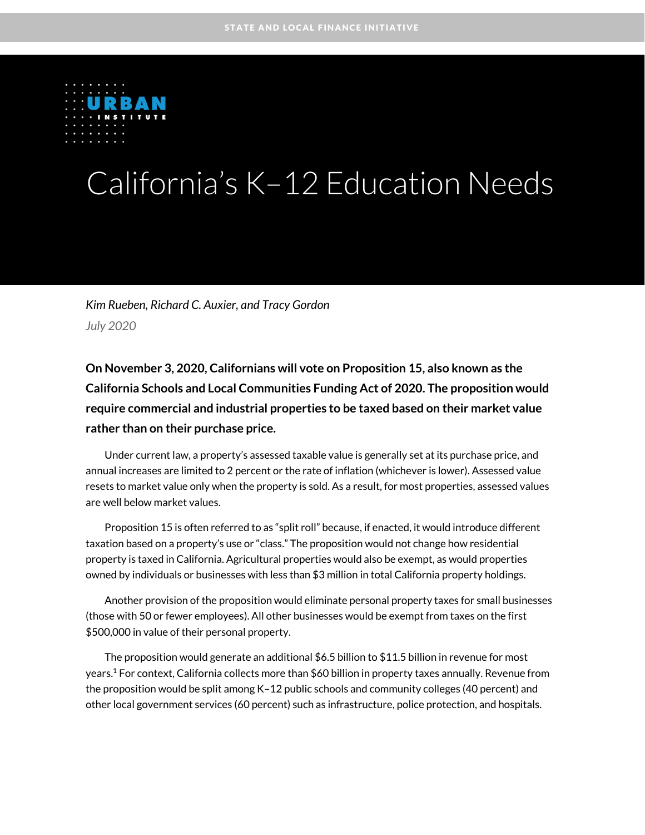

# California's K–12 Education Needs

*Kim Rueben, Richard C. Auxier, and Tracy Gordon July 2020*

**On November 3, 2020, Californians will vote on Proposition 15, also known as the California Schools and Local Communities Funding Act of 2020. The proposition would require commercial and industrial properties to be taxed based on their market value rather than on their purchase price.** 

Under current law, a property's assessed taxable value is generally set at its purchase price, and annual increases are limited to 2 percent or the rate of inflation (whichever is lower). Assessed value resets to market value only when the property is sold. As a result, for most properties, assessed values are well below market values.

Proposition 15 is often referred to as "split roll" because, if enacted, it would introduce different taxation based on a property's use or "class." The proposition would not change how residential property is taxed in California. Agricultural properties would also be exempt, as would properties owned by individuals or businesses with less than \$3 million in total California property holdings.

Another provision of the proposition would eliminate personal property taxes for small businesses (those with 50 or fewer employees). All other businesses would be exempt from taxes on the first \$500,000 in value of their personal property.

The proposition would generate an additional \$6.5 billion to \$11.5 billion in revenue for most years.<sup>1</sup> For context, California collects more than \$60 billion in property taxes annually. Revenue from the proposition would be split among K–12 public schools and community colleges (40 percent) and other local government services (60 percent) such as infrastructure, police protection, and hospitals.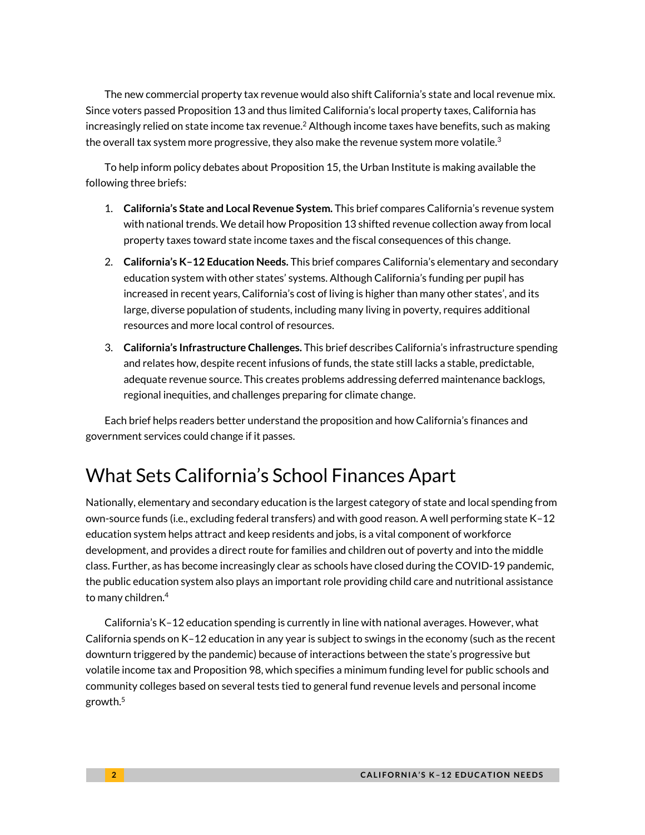The new commercial property tax revenue would also shift California's state and local revenue mix. Since voters passed Proposition 13 and thus limited California's local property taxes, California has increasingly relied on state income tax revenue. $^2$  Although income taxes have benefits, such as making the overall tax system more progressive, they also make the revenue system more volatile.<sup>3</sup>

To help inform policy debates about Proposition 15, the Urban Institute is making available the following three briefs:

- 1. **California's State and Local Revenue System.** This brief compares California's revenue system with national trends. We detail how Proposition 13 shifted revenue collection away from local property taxes toward state income taxes and the fiscal consequences of this change.
- 2. **California's K–12 Education Needs.** This brief compares California's elementary and secondary education system with other states' systems. Although California's funding per pupil has increased in recent years, California's cost of living is higher than many other states', and its large, diverse population of students, including many living in poverty, requires additional resources and more local control of resources.
- 3. **California's Infrastructure Challenges.** This brief describes California's infrastructure spending and relates how, despite recent infusions of funds, the state still lacks a stable, predictable, adequate revenue source. This creates problems addressing deferred maintenance backlogs, regional inequities, and challenges preparing for climate change.

Each brief helps readers better understand the proposition and how California's finances and government services could change if it passes.

# What Sets California's School Finances Apart

Nationally, elementary and secondary education is the largest category of state and local spending from own-source funds (i.e., excluding federal transfers) and with good reason. A well performing state K–12 education system helps attract and keep residents and jobs, is a vital component of workforce development, and provides a direct route for families and children out of poverty and into the middle class. Further, as has become increasingly clear as schools have closed during the COVID-19 pandemic, the public education system also plays an important role providing child care and nutritional assistance to many children.<sup>4</sup>

California's K–12 education spending is currently in line with national averages. However, what California spends on K–12 education in any year is subject to swings in the economy (such as the recent downturn triggered by the pandemic) because of interactions between the state's progressive but volatile income tax and Proposition 98, which specifies a minimum funding level for public schools and community colleges based on several tests tied to general fund revenue levels and personal income growth.5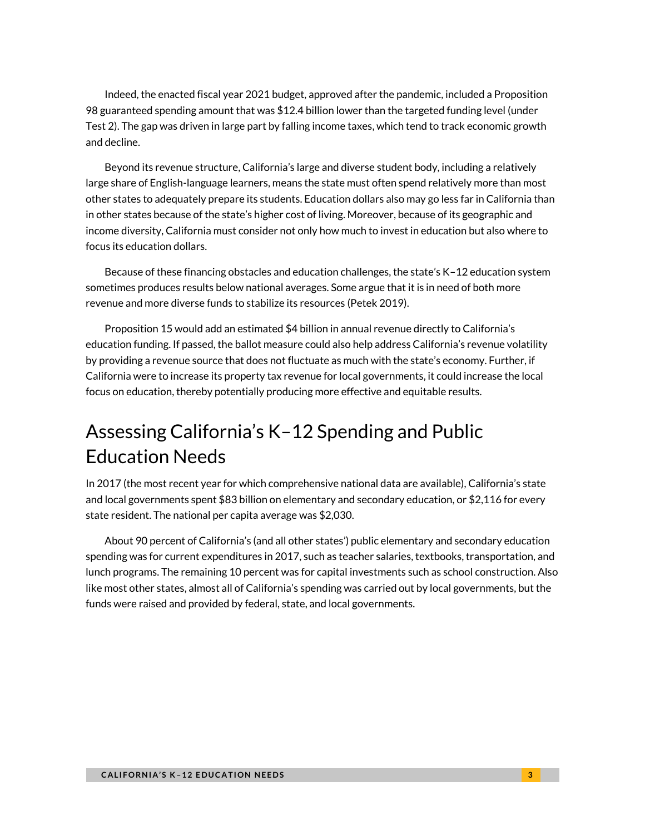Indeed, the enacted fiscal year 2021 budget, approved after the pandemic, included a Proposition 98 guaranteed spending amount that was \$12.4 billion lower than the targeted funding level (under Test 2). The gap was driven in large part by falling income taxes, which tend to track economic growth and decline.

Beyond its revenue structure, California's large and diverse student body, including a relatively large share of English-language learners, means the state must often spend relatively more than most other states to adequately prepare its students. Education dollars also may go less far in California than in other states because of the state's higher cost of living. Moreover, because of its geographic and income diversity, California must consider not only how much to invest in education but also where to focus its education dollars.

Because of these financing obstacles and education challenges, the state's K–12 education system sometimes produces results below national averages. Some argue that it is in need of both more revenue and more diverse funds to stabilize its resources (Petek 2019).

Proposition 15 would add an estimated \$4 billion in annual revenue directly to California's education funding. If passed, the ballot measure could also help address California's revenue volatility by providing a revenue source that does not fluctuate as much with the state's economy. Further, if California were to increase its property tax revenue for local governments, it could increase the local focus on education, thereby potentially producing more effective and equitable results.

# Assessing California's K–12 Spending and Public Education Needs

In 2017 (the most recent year for which comprehensive national data are available), California's state and local governments spent \$83 billion on elementary and secondary education, or \$2,116 for every state resident. The national per capita average was \$2,030.

About 90 percent of California's (and all other states') public elementary and secondary education spending was for current expenditures in 2017, such as teacher salaries, textbooks, transportation, and lunch programs. The remaining 10 percent was for capital investments such as school construction. Also like most other states, almost all of California's spending was carried out by local governments, but the funds were raised and provided by federal, state, and local governments.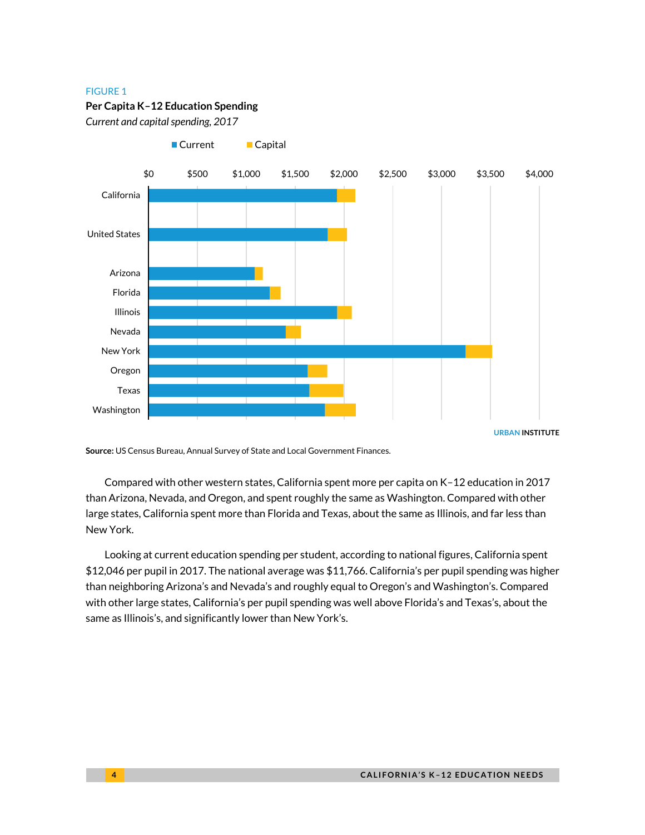#### FIGURE 1

#### **Per Capita K–12 Education Spending**

■ Current ■ Capital

*Current and capital spending, 2017*



**URBAN INSTITUTE**

**Source:** US Census Bureau, Annual Survey of State and Local Government Finances.

Compared with other western states, California spent more per capita on K–12 education in 2017 than Arizona, Nevada, and Oregon, and spent roughly the same as Washington. Compared with other large states, California spent more than Florida and Texas, about the same as Illinois, and far less than New York.

Looking at current education spending per student, according to national figures, California spent \$12,046 per pupil in 2017. The national average was \$11,766. California's per pupil spending was higher than neighboring Arizona's and Nevada's and roughly equal to Oregon's and Washington's. Compared with other large states, California's per pupil spending was well above Florida's and Texas's, about the same as Illinois's, and significantly lower than New York's.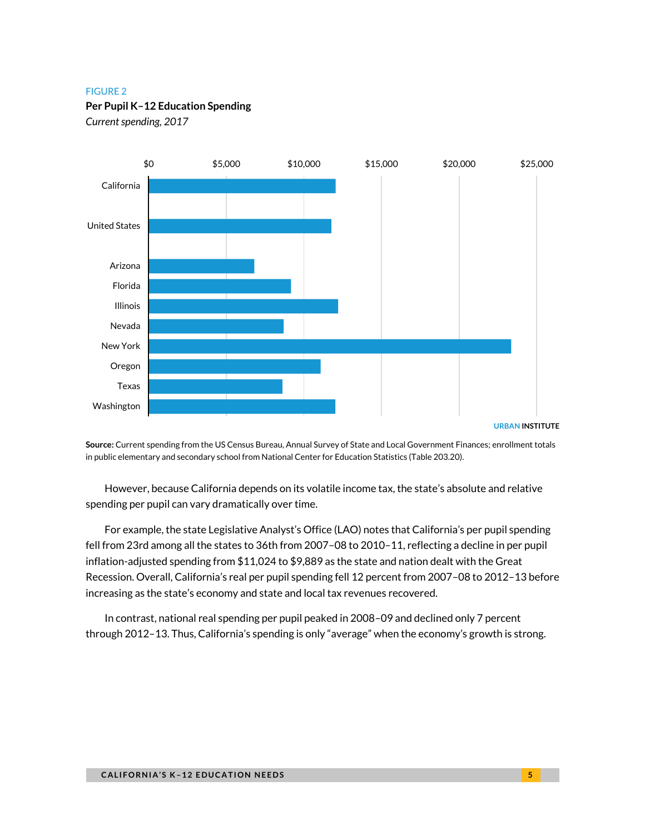#### FIGURE 2

#### **Per Pupil K–12 Education Spending**

*Current spending, 2017*



**Source:** Current spending from the US Census Bureau, Annual Survey of State and Local Government Finances; enrollment totals in public elementary and secondary school from National Center for Education Statistics (Table 203.20).

However, because California depends on its volatile income tax, the state's absolute and relative spending per pupil can vary dramatically over time.

For example, the state Legislative Analyst's Office (LAO) notes that California's per pupil spending fell from 23rd among all the states to 36th from 2007–08 to 2010–11, reflecting a decline in per pupil inflation-adjusted spending from \$11,024 to \$9,889 as the state and nation dealt with the Great Recession. Overall, California's real per pupil spending fell 12 percent from 2007–08 to 2012–13 before increasing as the state's economy and state and local tax revenues recovered.

In contrast, national real spending per pupil peaked in 2008–09 and declined only 7 percent through 2012–13. Thus, California's spending is only "average" when the economy's growth is strong.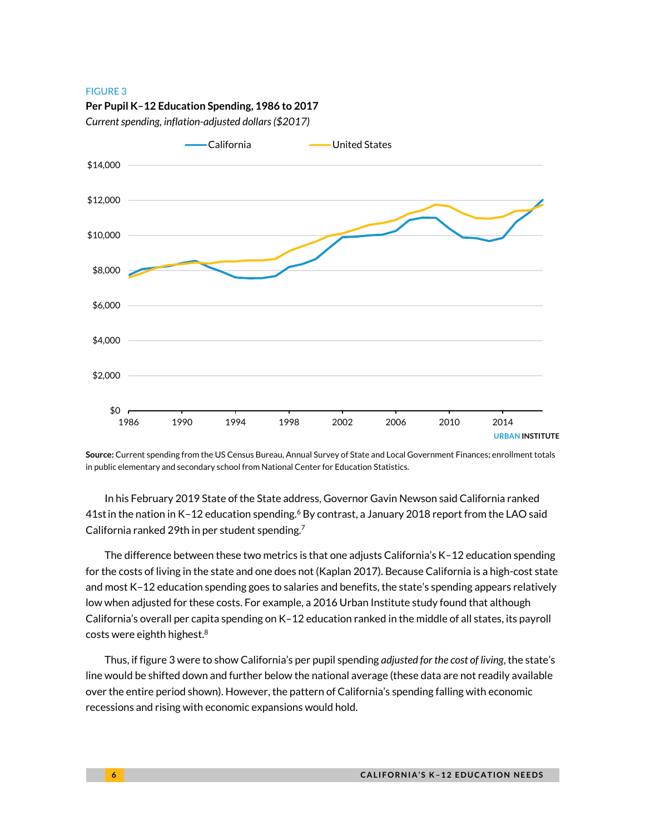#### FIGURE 3





*Current spending, inflation-adjusted dollars (\$2017)*

**Source:** Current spending from the US Census Bureau, Annual Survey of State and Local Government Finances; enrollment totals in public elementary and secondary school from National Center for Education Statistics.

In his February 2019 State of the State address, Governor Gavin Newson said California ranked 41st in the nation in K-12 education spending.<sup>6</sup> By contrast, a January 2018 report from the LAO said California ranked 29th in per student spending.<sup>7</sup>

The difference between these two metrics is that one adjusts California's K–12 education spending for the costs of living in the state and one does not (Kaplan 2017). Because California is a high-cost state and most K–12 education spending goes to salaries and benefits, the state's spending appears relatively low when adjusted for these costs. For example, a 2016 Urban Institute study found that although California's overall per capita spending on K–12 education ranked in the middle of all states, its payroll costs were eighth highest.<sup>8</sup>

Thus, if figure 3 were to show California's per pupil spending *adjusted for the cost of living*, the state's line would be shifted down and further below the national average (these data are not readily available over the entire period shown). However, the pattern of California's spending falling with economic recessions and rising with economic expansions would hold.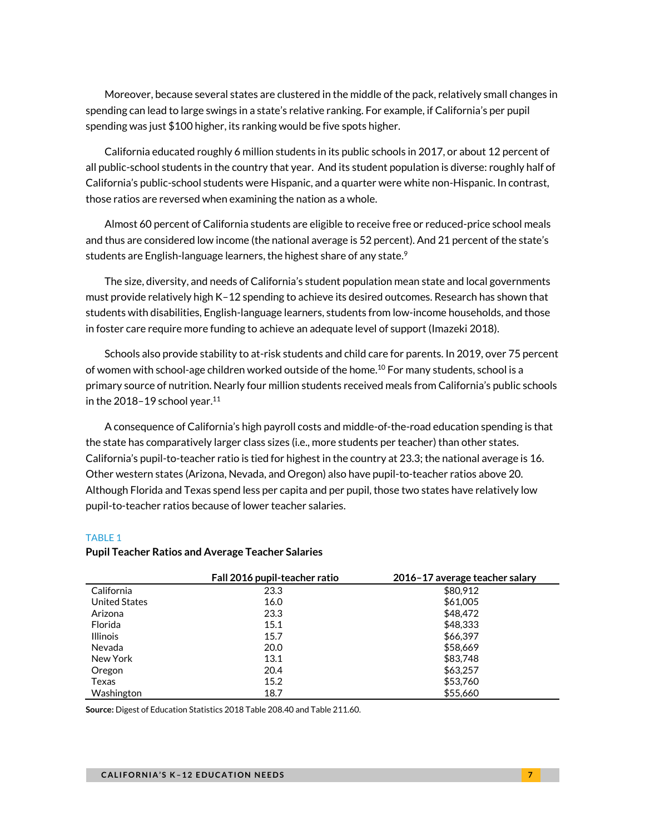Moreover, because several states are clustered in the middle of the pack, relatively small changes in spending can lead to large swings in a state's relative ranking. For example, if California's per pupil spending was just \$100 higher, its ranking would be five spots higher.

California educated roughly 6 million students in its public schools in 2017, or about 12 percent of all public-school students in the country that year. And its student population is diverse: roughly half of California's public-school students were Hispanic, and a quarter were white non-Hispanic. In contrast, those ratios are reversed when examining the nation as a whole.

Almost 60 percent of California students are eligible to receive free or reduced-price school meals and thus are considered low income (the national average is 52 percent). And 21 percent of the state's students are English-language learners, the highest share of any state.<sup>9</sup>

The size, diversity, and needs of California's student population mean state and local governments must provide relatively high K–12 spending to achieve its desired outcomes. Research has shown that students with disabilities, English-language learners, students from low-income households, and those in foster care require more funding to achieve an adequate level of support (Imazeki 2018).

Schools also provide stability to at-risk students and child care for parents. In 2019, over 75 percent of women with school-age children worked outside of the home.<sup>10</sup> For many students, school is a primary source of nutrition. Nearly four million students received meals from California's public schools in the 2018–19 school year. $11$ 

A consequence of California's high payroll costs and middle-of-the-road education spending is that the state has comparatively larger class sizes (i.e., more students per teacher) than other states. California's pupil-to-teacher ratio is tied for highest in the country at 23.3; the national average is 16. Other western states (Arizona, Nevada, and Oregon) also have pupil-to-teacher ratios above 20. Although Florida and Texas spend less per capita and per pupil, those two states have relatively low pupil-to-teacher ratios because of lower teacher salaries.

#### TABLE 1

#### **Pupil Teacher Ratios and Average Teacher Salaries**

|                      | Fall 2016 pupil-teacher ratio | 2016-17 average teacher salary |
|----------------------|-------------------------------|--------------------------------|
| California           | 23.3                          | \$80,912                       |
| <b>United States</b> | 16.0                          | \$61,005                       |
| Arizona              | 23.3                          | \$48,472                       |
| Florida              | 15.1                          | \$48,333                       |
| <b>Illinois</b>      | 15.7                          | \$66,397                       |
| Nevada               | 20.0                          | \$58,669                       |
| New York             | 13.1                          | \$83,748                       |
| Oregon               | 20.4                          | \$63,257                       |
| Texas                | 15.2                          | \$53,760                       |
| Washington           | 18.7                          | \$55,660                       |

**Source:** Digest of Education Statistics 2018 Table 208.40 and Table 211.60.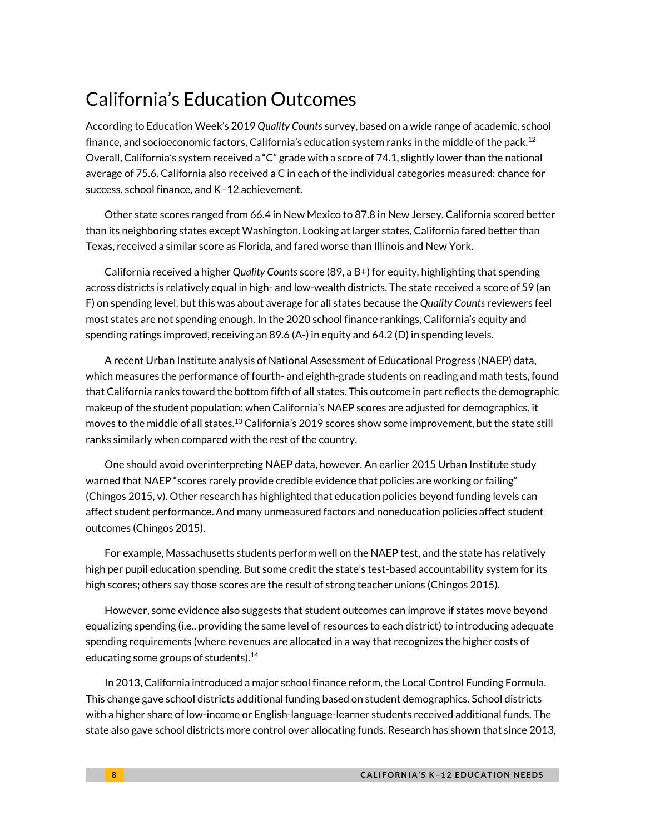### California's Education Outcomes

According to Education Week's 2019 *Quality Counts* survey, based on a wide range of academic, school finance, and socioeconomic factors, California's education system ranks in the middle of the pack.<sup>12</sup> Overall, California's system received a "C" grade with a score of 74.1, slightly lower than the national average of 75.6. California also received a C in each of the individual categories measured: chance for success, school finance, and K–12 achievement.

Other state scores ranged from 66.4 in New Mexico to 87.8 in New Jersey. California scored better than its neighboring states except Washington. Looking at larger states, California fared better than Texas, received a similar score as Florida, and fared worse than Illinois and New York.

California received a higher *Quality Counts* score (89, a B+) for equity, highlighting that spending across districts is relatively equal in high- and low-wealth districts. The state received a score of 59 (an F) on spending level, but this was about average for all states because the *Quality Counts* reviewers feel most states are not spending enough. In the 2020 school finance rankings, California's equity and spending ratings improved, receiving an 89.6 (A-) in equity and 64.2 (D) in spending levels.

A recent Urban Institute analysis of National Assessment of Educational Progress (NAEP) data, which measures the performance of fourth- and eighth-grade students on reading and math tests, found that California ranks toward the bottom fifth of all states. This outcome in part reflects the demographic makeup of the student population: when California's NAEP scores are adjusted for demographics, it moves to the middle of all states.<sup>13</sup> California's 2019 scores show some improvement, but the state still ranks similarly when compared with the rest of the country.

One should avoid overinterpreting NAEP data, however. An earlier 2015 Urban Institute study warned that NAEP "scores rarely provide credible evidence that policies are working or failing" (Chingos 2015, v). Other research has highlighted that education policies beyond funding levels can affect student performance. And many unmeasured factors and noneducation policies affect student outcomes (Chingos 2015).

For example, Massachusetts students perform well on the NAEP test, and the state has relatively high per pupil education spending. But some credit the state's test-based accountability system for its high scores; others say those scores are the result of strong teacher unions (Chingos 2015).

However, some evidence also suggests that student outcomes can improve if states move beyond equalizing spending (i.e., providing the same level of resources to each district) to introducing adequate spending requirements (where revenues are allocated in a way that recognizes the higher costs of educating some groups of students).<sup>14</sup>

In 2013, California introduced a major school finance reform, the Local Control Funding Formula. This change gave school districts additional funding based on student demographics. School districts with a higher share of low-income or English-language-learner students received additional funds. The state also gave school districts more control over allocating funds. Research has shown that since 2013,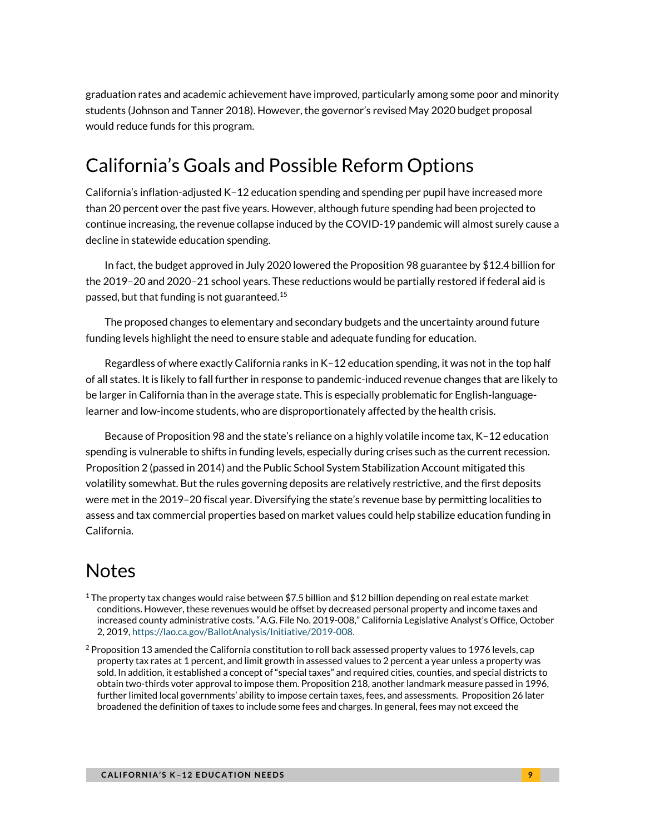graduation rates and academic achievement have improved, particularly among some poor and minority students (Johnson and Tanner 2018). However, the governor's revised May 2020 budget proposal would reduce funds for this program.

# California's Goals and Possible Reform Options

California's inflation-adjusted K–12 education spending and spending per pupil have increased more than 20 percent over the past five years. However, although future spending had been projected to continue increasing, the revenue collapse induced by the COVID-19 pandemic will almost surely cause a decline in statewide education spending.

In fact, the budget approved in July 2020 lowered the Proposition 98 guarantee by \$12.4 billion for the 2019–20 and 2020–21 school years. These reductions would be partially restored if federal aid is passed, but that funding is not guaranteed. 15

The proposed changes to elementary and secondary budgets and the uncertainty around future funding levels highlight the need to ensure stable and adequate funding for education.

Regardless of where exactly California ranks in K–12 education spending, it was not in the top half of all states. It is likely to fall further in response to pandemic-induced revenue changes that are likely to be larger in California than in the average state. This is especially problematic for English-languagelearner and low-income students, who are disproportionately affected by the health crisis.

Because of Proposition 98 and the state's reliance on a highly volatile income tax, K–12 education spending is vulnerable to shifts in funding levels, especially during crises such as the current recession. Proposition 2 (passed in 2014) and the Public School System Stabilization Account mitigated this volatility somewhat. But the rules governing deposits are relatively restrictive, and the first deposits were met in the 2019–20 fiscal year. Diversifying the state's revenue base by permitting localities to assess and tax commercial properties based on market values could help stabilize education funding in California.

### Notes

- <sup>1</sup> The property tax changes would raise between \$7.5 billion and \$12 billion depending on real estate market conditions. However, these revenues would be offset by decreased personal property and income taxes and increased county administrative costs. "A.G. File No. 2019-008," California Legislative Analyst's Office, October 2, 2019, [https://lao.ca.gov/BallotAnalysis/Initiative/2019-008.](https://lao.ca.gov/BallotAnalysis/Initiative/2019-008)
- $^2$  Proposition 13 amended the California constitution to roll back assessed property values to 1976 levels, cap property tax rates at 1 percent, and limit growth in assessed values to 2 percent a year unless a property was sold. In addition, it established a concept of "special taxes" and required cities, counties, and special districts to obtain two-thirds voter approval to impose them. Proposition 218, another landmark measure passed in 1996, further limited local governments' ability to impose certain taxes, fees, and assessments. Proposition 26 later broadened the definition of taxes to include some fees and charges. In general, fees may not exceed the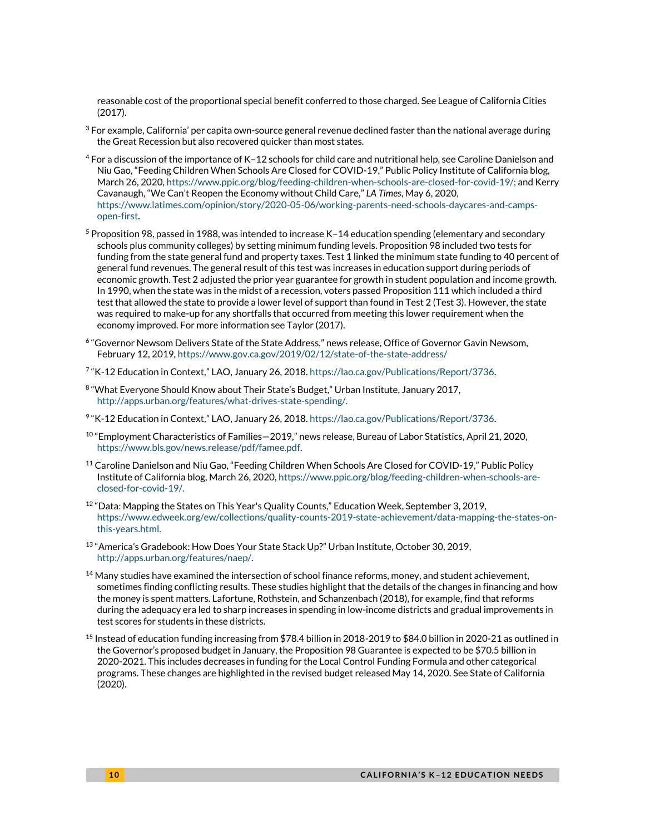reasonable cost of the proportional special benefit conferred to those charged. See League of California Cities (2017).

- $3$  For example, California' per capita own-source general revenue declined faster than the national average during the Great Recession but also recovered quicker than most states.
- $^4$  For a discussion of the importance of K–12 schools for child care and nutritional help, see Caroline Danielson and Niu Gao, "Feeding Children When Schools Are Closed for COVID-19," Public Policy Institute of California blog, March 26, 2020[, https://www.ppic.org/blog/feeding-children-when-schools-are-closed-for-covid-19/;](https://www.ppic.org/blog/feeding-children-when-schools-are-closed-for-covid-19/) and Kerry Cavanaugh, "We Can't Reopen the Economy without Child Care," *LA Times*, May 6, 2020, [https://www.latimes.com/opinion/story/2020-05-06/working-parents-need-schools-daycares-and-camps](https://www.latimes.com/opinion/story/2020-05-06/working-parents-need-schools-daycares-and-camps-open-first)[open-first.](https://www.latimes.com/opinion/story/2020-05-06/working-parents-need-schools-daycares-and-camps-open-first)
- <sup>5</sup> Proposition 98, passed in 1988, was intended to increase K–14 education spending (elementary and secondary schools plus community colleges) by setting minimum funding levels. Proposition 98 included two tests for funding from the state general fund and property taxes. Test 1 linked the minimum state funding to 40 percent of general fund revenues. The general result of this test was increases in education support during periods of economic growth. Test 2 adjusted the prior year guarantee for growth in student population and income growth. In 1990, when the state was in the midst of a recession, voters passed Proposition 111 which included a third test that allowed the state to provide a lower level of support than found in Test 2 (Test 3). However, the state was required to make-up for any shortfalls that occurred from meeting this lower requirement when the economy improved. For more information see Taylor (2017).
- 6 "Governor Newsom Delivers State of the State Address," news release, Office of Governor Gavin Newsom, February 12, 2019, <https://www.gov.ca.gov/2019/02/12/state-of-the-state-address/>
- 7 "K-12 Education in Context," LAO, January 26, 2018[. https://lao.ca.gov/Publications/Report/3736.](https://lao.ca.gov/Publications/Report/3736)
- $^8$  "What Everyone Should Know about Their State's Budget," Urban Institute, January 2017, [http://apps.urban.org/features/what-drives-state-spending/.](http://apps.urban.org/features/what-drives-state-spending/)
- 9 "K-12 Education in Context," LAO, January 26, 2018[. https://lao.ca.gov/Publications/Report/3736.](https://lao.ca.gov/Publications/Report/3736)
- $^{10}$  "Employment Characteristics of Families $-2019$ ," news release, Bureau of Labor Statistics, April 21, 2020, [https://www.bls.gov/news.release/pdf/famee.pdf.](https://www.bls.gov/news.release/pdf/famee.pdf)
- $11$  Caroline Danielson and Niu Gao, "Feeding Children When Schools Are Closed for COVID-19," Public Policy Institute of California blog, March 26, 2020[, https://www.ppic.org/blog/feeding-children-when-schools-are](https://www.ppic.org/blog/feeding-children-when-schools-are-closed-for-covid-19/)[closed-for-covid-19/.](https://www.ppic.org/blog/feeding-children-when-schools-are-closed-for-covid-19/)
- $12$  "Data: Mapping the States on This Year's Quality Counts," Education Week, September 3, 2019, [https://www.edweek.org/ew/collections/quality-counts-2019-state-achievement/data-mapping-the-states-on](https://www.edweek.org/ew/collections/quality-counts-2019-state-achievement/data-mapping-the-states-on-this-years.html)[this-years.html.](https://www.edweek.org/ew/collections/quality-counts-2019-state-achievement/data-mapping-the-states-on-this-years.html)
- <sup>13</sup> "America's Gradebook: How Does Your State Stack Up?" Urban Institute, October 30, 2019, [http://apps.urban.org/features/naep/.](http://apps.urban.org/features/naep/)
- $14$  Many studies have examined the intersection of school finance reforms, money, and student achievement, sometimes finding conflicting results. These studies highlight that the details of the changes in financing and how the money is spent matters. Lafortune, Rothstein, and Schanzenbach (2018), for example, find that reforms during the adequacy era led to sharp increases in spending in low-income districts and gradual improvements in test scores for students in these districts.
- <sup>15</sup> Instead of education funding increasing from \$78.4 billion in 2018-2019 to \$84.0 billion in 2020-21 as outlined in the Governor's proposed budget in January, the Proposition 98 Guarantee is expected to be \$70.5 billion in 2020-2021. This includes decreases in funding for the Local Control Funding Formula and other categorical programs. These changes are highlighted in the revised budget released May 14, 2020. See State of California (2020).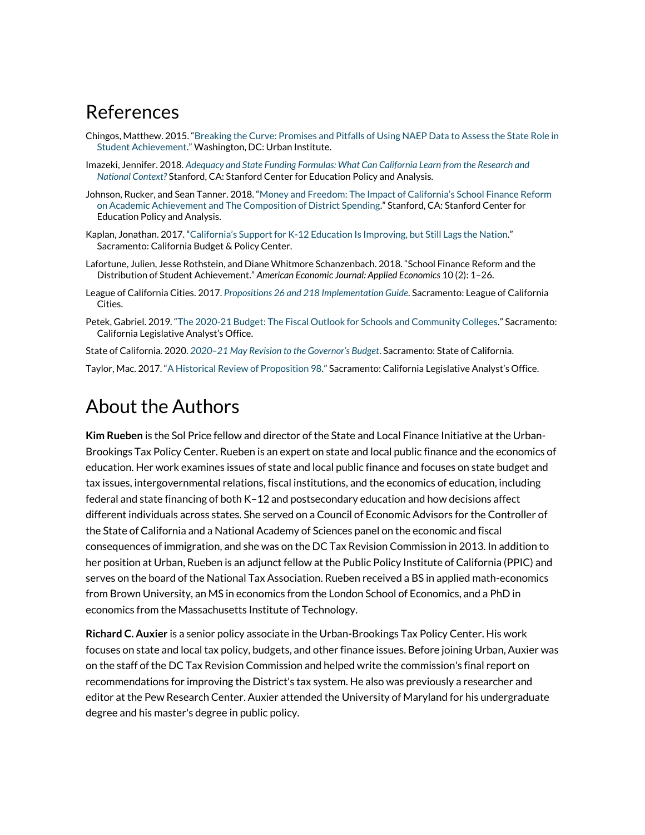### References

- Chingos, Matthew. 2015. "[Breaking the Curve: Promises and Pitfalls of Using NAEP Data to Assess the State Role in](https://www.urban.org/research/publication/breaking-curve-promises-and-pitfalls-using-naep-data-assess-state-role-student-achievement)  [Student Achievement.](https://www.urban.org/research/publication/breaking-curve-promises-and-pitfalls-using-naep-data-assess-state-role-student-achievement)" Washington, DC: Urban Institute.
- Imazeki, Jennifer. 2018. *[Adequacy and State Funding Formulas: What Can California Learn from](https://gettingdowntofacts.com/sites/default/files/2018-09/GDTFII_Report_Imazeki.pdf) the Research and [National Context?](https://gettingdowntofacts.com/sites/default/files/2018-09/GDTFII_Report_Imazeki.pdf)* Stanford, CA: Stanford Center for Education Policy and Analysis.
- Johnson, Rucker, and Sean Tanner. 2018. ["Money and Freedom: The Impact of California's School Finance Reform](https://gettingdowntofacts.com/publications/money-and-freedom-impact-californias-school-finance-reform-academic-achievement-and)  on [Academic Achievement and The Composition of District Spending](https://gettingdowntofacts.com/publications/money-and-freedom-impact-californias-school-finance-reform-academic-achievement-and)." Stanford, CA: Stanford Center for Education Policy and Analysis.
- Kaplan, Jonathan. 2017. "California's Support for K[-12 Education Is Improving, but Still Lags the Nation.](https://calbudgetcenter.org/resources/californias-support-k-12-education-improving-still-lags-nation/)" Sacramento: California Budget & Policy Center.
- Lafortune, Julien, Jesse Rothstein, and Diane Whitmore Schanzenbach. 2018. "School Finance Reform and the Distribution of Student Achievement." *American Economic Journal: Applied Economics* 10 (2): 1–26.
- League of California Cities. 2017. *[Propositions 26 and 218 Implementation Guide](https://www.cacities.org/Prop218andProp26)*. Sacramento: League of California Cities.
- Petek, Gabriel. 2019. "[The 2020-21 Budget: The Fiscal Outlook for Schools and Community Colleges.](https://lao.ca.gov/reports/2019/4113/outlook-schools-CC-112019.pdf)" Sacramento: California Legislative Analyst's Office.
- State of California. 2020. *2020[–21 May Revision to the Governor's Budget](http://www.ebudget.ca.gov/budget/2020-21MR/#/BudgetSummary)*. Sacramento: State of California.

Taylor, Mac. 2017. "[A Historical Review of Proposition 98.](https://lao.ca.gov/Publications/Report/3526)" Sacramento: California Legislative Analyst's Office.

### About the Authors

**Kim Rueben** is the Sol Price fellow and director of the State and Local Finance Initiative at the Urban-Brookings Tax Policy Center. Rueben is an expert on state and local public finance and the economics of education. Her work examines issues of state and local public finance and focuses on state budget and tax issues, intergovernmental relations, fiscal institutions, and the economics of education, including federal and state financing of both K–12 and postsecondary education and how decisions affect different individuals across states. She served on a Council of Economic Advisors for the Controller of the State of California and a National Academy of Sciences panel on the economic and fiscal consequences of immigration, and she was on the DC Tax Revision Commission in 2013. In addition to her position at Urban, Rueben is an adjunct fellow at the Public Policy Institute of California (PPIC) and serves on the board of the National Tax Association. Rueben received a BS in applied math-economics from Brown University, an MS in economics from the London School of Economics, and a PhD in economics from the Massachusetts Institute of Technology.

**Richard C. Auxier** is a senior policy associate in the Urban-Brookings Tax Policy Center. His work focuses on state and local tax policy, budgets, and other finance issues. Before joining Urban, Auxier was on the staff of the DC Tax Revision Commission and helped write the commission's final report on recommendations for improving the District's tax system. He also was previously a researcher and editor at the Pew Research Center. Auxier attended the University of Maryland for his undergraduate degree and his master's degree in public policy.